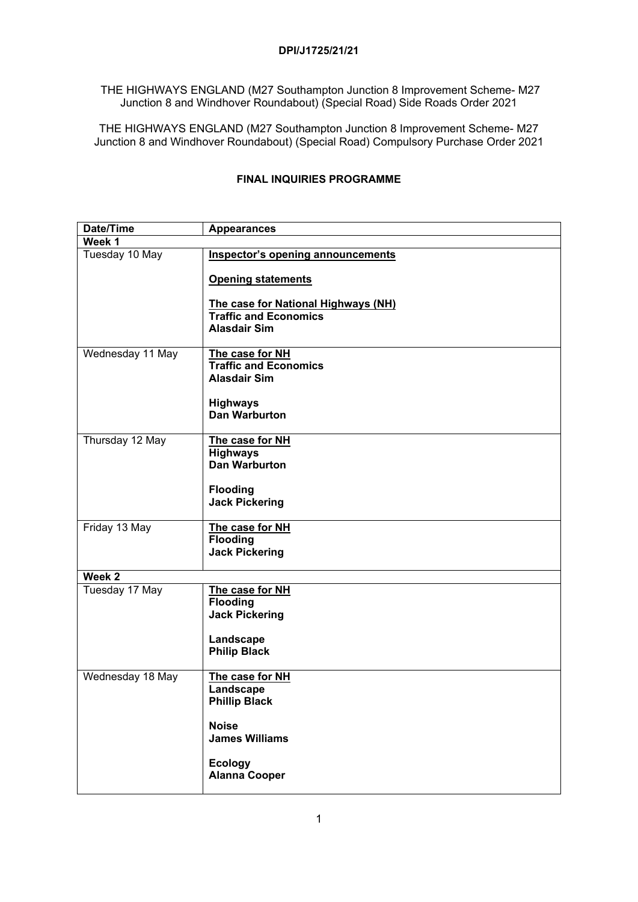## **DPI/J1725/21/21**

THE HIGHWAYS ENGLAND (M27 Southampton Junction 8 Improvement Scheme- M27 Junction 8 and Windhover Roundabout) (Special Road) Side Roads Order 2021

THE HIGHWAYS ENGLAND (M27 Southampton Junction 8 Improvement Scheme- M27 Junction 8 and Windhover Roundabout) (Special Road) Compulsory Purchase Order 2021

| Tuesday 10 May<br>Inspector's opening announcements<br><b>Opening statements</b><br>The case for National Highways (NH)<br><b>Traffic and Economics</b><br><b>Alasdair Sim</b><br>Wednesday 11 May<br>The case for NH<br><b>Traffic and Economics</b><br><b>Alasdair Sim</b><br><b>Highways</b><br><b>Dan Warburton</b><br>Thursday 12 May<br>The case for NH<br><b>Highways</b><br><b>Dan Warburton</b><br><b>Flooding</b><br><b>Jack Pickering</b><br>Friday 13 May<br>The case for NH<br><b>Flooding</b><br><b>Jack Pickering</b><br>Week 2<br>Tuesday 17 May<br>The case for NH<br><b>Flooding</b><br><b>Jack Pickering</b><br>Landscape<br><b>Philip Black</b><br>Wednesday 18 May<br>The case for NH<br>Landscape<br><b>Phillip Black</b><br><b>Noise</b><br><b>James Williams</b><br><b>Ecology</b> | Date/Time | <b>Appearances</b> |  |
|------------------------------------------------------------------------------------------------------------------------------------------------------------------------------------------------------------------------------------------------------------------------------------------------------------------------------------------------------------------------------------------------------------------------------------------------------------------------------------------------------------------------------------------------------------------------------------------------------------------------------------------------------------------------------------------------------------------------------------------------------------------------------------------------------------|-----------|--------------------|--|
|                                                                                                                                                                                                                                                                                                                                                                                                                                                                                                                                                                                                                                                                                                                                                                                                            | Week 1    |                    |  |
|                                                                                                                                                                                                                                                                                                                                                                                                                                                                                                                                                                                                                                                                                                                                                                                                            |           |                    |  |
|                                                                                                                                                                                                                                                                                                                                                                                                                                                                                                                                                                                                                                                                                                                                                                                                            |           |                    |  |
|                                                                                                                                                                                                                                                                                                                                                                                                                                                                                                                                                                                                                                                                                                                                                                                                            |           |                    |  |
|                                                                                                                                                                                                                                                                                                                                                                                                                                                                                                                                                                                                                                                                                                                                                                                                            |           |                    |  |
|                                                                                                                                                                                                                                                                                                                                                                                                                                                                                                                                                                                                                                                                                                                                                                                                            |           |                    |  |
|                                                                                                                                                                                                                                                                                                                                                                                                                                                                                                                                                                                                                                                                                                                                                                                                            |           |                    |  |
|                                                                                                                                                                                                                                                                                                                                                                                                                                                                                                                                                                                                                                                                                                                                                                                                            |           |                    |  |
|                                                                                                                                                                                                                                                                                                                                                                                                                                                                                                                                                                                                                                                                                                                                                                                                            |           |                    |  |
|                                                                                                                                                                                                                                                                                                                                                                                                                                                                                                                                                                                                                                                                                                                                                                                                            |           |                    |  |
|                                                                                                                                                                                                                                                                                                                                                                                                                                                                                                                                                                                                                                                                                                                                                                                                            |           |                    |  |
|                                                                                                                                                                                                                                                                                                                                                                                                                                                                                                                                                                                                                                                                                                                                                                                                            |           |                    |  |
|                                                                                                                                                                                                                                                                                                                                                                                                                                                                                                                                                                                                                                                                                                                                                                                                            |           |                    |  |
|                                                                                                                                                                                                                                                                                                                                                                                                                                                                                                                                                                                                                                                                                                                                                                                                            |           |                    |  |
|                                                                                                                                                                                                                                                                                                                                                                                                                                                                                                                                                                                                                                                                                                                                                                                                            |           |                    |  |
|                                                                                                                                                                                                                                                                                                                                                                                                                                                                                                                                                                                                                                                                                                                                                                                                            |           |                    |  |
|                                                                                                                                                                                                                                                                                                                                                                                                                                                                                                                                                                                                                                                                                                                                                                                                            |           |                    |  |
|                                                                                                                                                                                                                                                                                                                                                                                                                                                                                                                                                                                                                                                                                                                                                                                                            |           |                    |  |
|                                                                                                                                                                                                                                                                                                                                                                                                                                                                                                                                                                                                                                                                                                                                                                                                            |           |                    |  |
|                                                                                                                                                                                                                                                                                                                                                                                                                                                                                                                                                                                                                                                                                                                                                                                                            |           |                    |  |
|                                                                                                                                                                                                                                                                                                                                                                                                                                                                                                                                                                                                                                                                                                                                                                                                            |           |                    |  |
|                                                                                                                                                                                                                                                                                                                                                                                                                                                                                                                                                                                                                                                                                                                                                                                                            |           |                    |  |
|                                                                                                                                                                                                                                                                                                                                                                                                                                                                                                                                                                                                                                                                                                                                                                                                            |           |                    |  |
|                                                                                                                                                                                                                                                                                                                                                                                                                                                                                                                                                                                                                                                                                                                                                                                                            |           |                    |  |
|                                                                                                                                                                                                                                                                                                                                                                                                                                                                                                                                                                                                                                                                                                                                                                                                            |           |                    |  |
|                                                                                                                                                                                                                                                                                                                                                                                                                                                                                                                                                                                                                                                                                                                                                                                                            |           |                    |  |
|                                                                                                                                                                                                                                                                                                                                                                                                                                                                                                                                                                                                                                                                                                                                                                                                            |           |                    |  |
|                                                                                                                                                                                                                                                                                                                                                                                                                                                                                                                                                                                                                                                                                                                                                                                                            |           |                    |  |
|                                                                                                                                                                                                                                                                                                                                                                                                                                                                                                                                                                                                                                                                                                                                                                                                            |           |                    |  |
|                                                                                                                                                                                                                                                                                                                                                                                                                                                                                                                                                                                                                                                                                                                                                                                                            |           |                    |  |
|                                                                                                                                                                                                                                                                                                                                                                                                                                                                                                                                                                                                                                                                                                                                                                                                            |           |                    |  |
|                                                                                                                                                                                                                                                                                                                                                                                                                                                                                                                                                                                                                                                                                                                                                                                                            |           |                    |  |
| <b>Alanna Cooper</b>                                                                                                                                                                                                                                                                                                                                                                                                                                                                                                                                                                                                                                                                                                                                                                                       |           |                    |  |

## **FINAL INQUIRIES PROGRAMME**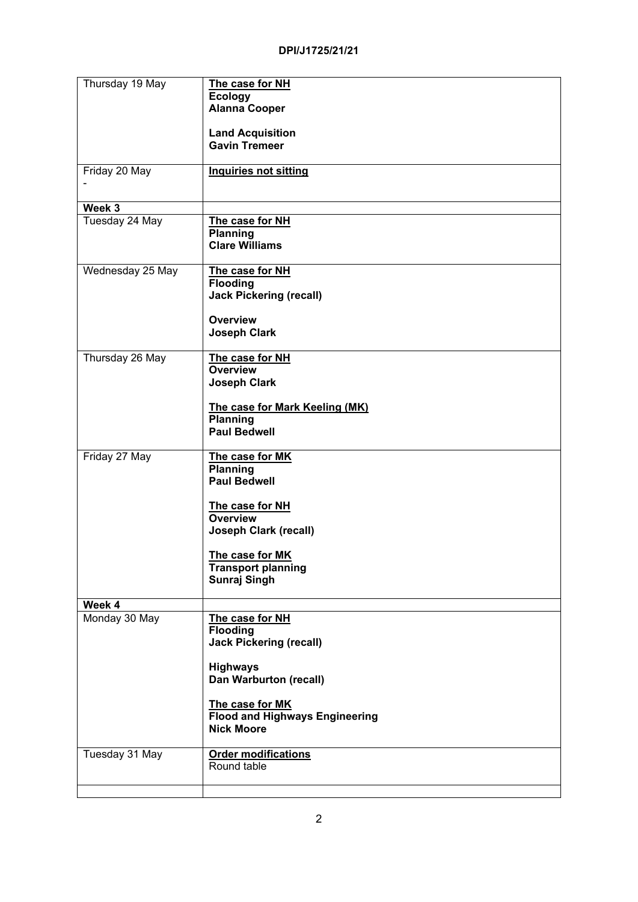| Thursday 19 May  | The case for NH                       |
|------------------|---------------------------------------|
|                  | <b>Ecology</b>                        |
|                  | <b>Alanna Cooper</b>                  |
|                  |                                       |
|                  | <b>Land Acquisition</b>               |
|                  | <b>Gavin Tremeer</b>                  |
|                  |                                       |
| Friday 20 May    | <b>Inquiries not sitting</b>          |
|                  |                                       |
|                  |                                       |
| Week 3           |                                       |
| Tuesday 24 May   | The case for NH                       |
|                  | <b>Planning</b>                       |
|                  | <b>Clare Williams</b>                 |
|                  |                                       |
| Wednesday 25 May | The case for NH                       |
|                  | <b>Flooding</b>                       |
|                  | <b>Jack Pickering (recall)</b>        |
|                  |                                       |
|                  | <b>Overview</b>                       |
|                  |                                       |
|                  | <b>Joseph Clark</b>                   |
| Thursday 26 May  | The case for NH                       |
|                  | <b>Overview</b>                       |
|                  |                                       |
|                  | <b>Joseph Clark</b>                   |
|                  |                                       |
|                  | The case for Mark Keeling (MK)        |
|                  | Planning                              |
|                  | <b>Paul Bedwell</b>                   |
|                  |                                       |
| Friday 27 May    | The case for MK                       |
|                  | <b>Planning</b>                       |
|                  | <b>Paul Bedwell</b>                   |
|                  |                                       |
|                  | The case for NH                       |
|                  | <b>Overview</b>                       |
|                  | <b>Joseph Clark (recall)</b>          |
|                  |                                       |
|                  | The case for MK                       |
|                  | <b>Transport planning</b>             |
|                  | <b>Sunraj Singh</b>                   |
|                  |                                       |
| Week 4           |                                       |
| Monday 30 May    | The case for NH                       |
|                  | <b>Flooding</b>                       |
|                  | <b>Jack Pickering (recall)</b>        |
|                  |                                       |
|                  | <b>Highways</b>                       |
|                  | Dan Warburton (recall)                |
|                  |                                       |
|                  | The case for MK                       |
|                  | <b>Flood and Highways Engineering</b> |
|                  | <b>Nick Moore</b>                     |
|                  |                                       |
| Tuesday 31 May   | <b>Order modifications</b>            |
|                  | Round table                           |
|                  |                                       |
|                  |                                       |